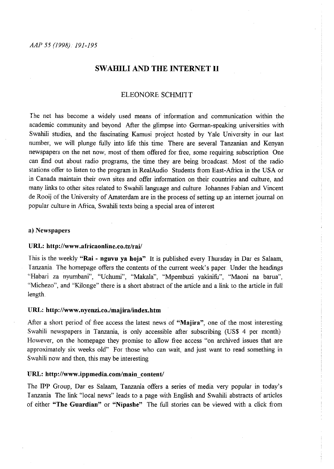# **SW AHILI AND THE INTERNET 11**

# ELEONORE SCHMITT

Ihe net has become a widely used means of information and communication within the academic community and beyond After the glimpse into German-speaking universities with Swahili studies, and the fascinating Kamusi project hosted by Yale University in our last number, we will plunge fully into life this time There are several Tanzanian and Kenyan newspapers on the net now, most of them offered for free, some requiring subscription One can find out about radio programs, the time they are being broadcast Most of the radio stations offer to listen to the program in RealAudio Students from East-Afiica in the USA or in Canada maintain their own sites and offer information on their countries and culture, and many links to other sites related to Swahili language and culture Johannes Fabian and Vincent de Rooij of the University of Amsterdam are in the process of setting up an internet journal on popular culture in Africa, Swahili texts being a special area of interest

# a) **Newspapers**

#### **URL: http://www.atricaonline.eo.tz/rai/**

I his is the weekly **"Rai - nguvu ya hoja"** It is published every Thursday in Dar es Salaam, Tanzania. The homepage offers the contents of the current week's paper Under the headings "Habari za nyumbani", "Uchumi", "Makala", "Mpembuzi yakinifu", "Maoni na barua", "Michezo", and "Kilonge" there is a short abstract of the article and a link to the article in full length

# **URL: http://www.nyenzi.co./majira/index.htm**

After a short period of free access the latest news of **"Majira",** one of the most interesting Swahili newspapers in Tanzania, is only accessible after subscribing (US\$ 4 per month) However, on the homepage they promise to allow free access "on archived issues that are approximately six weeks old" For those who can wait, and just want to read something in Swahili now and then, this may be interesting

#### **URL: http://www.ippmedia.com/main content/**

The **IPP** Group, Dar es Salaam, Tanzania offers a series of media very popular in today's I anzania The link "local news" leads to a page with English and Swahili abstracts of articles of either **"The Guardian" or "Nipashe"** The full stories can be viewed with a click from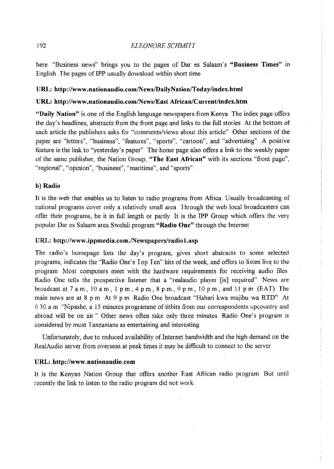here "Business news" brings you to the pages of Dar es Salaam's **"Business Times"** m English I he pages of IPP usually download within short time

# URL: http://www.nationaudio.com/News/DailyNation/Today/index.html

#### URL: http://www.nationaudio.com/News/East African/Current/index.htm

**"Daily Nation"** is one of the English language newspapers fiom Kenya. The index page offers the day's headlines, abstracts fiom the fiont page and links to the full stories At the bottom of each article the publishers asks for "comments/views about this article" Other sections of the **paper are "letters", "business", "features", "sports", "cartoon", and "advertising" A positive**  feature is the link to "yesterday's paper" The home page also offers a link to the weekly paper of the same publisher, the Nation Group, **"The East African"** with its sections "fiont page", **"regional", "opinion", "business", "maritime", and "sports"** 

# **b) Radio**

It is the web that enables us to listen to radio programs fiom Afiica Usually broadcasting of national programs cover only a relatively small area I hrough the web local broadcasters can offer their programs, be it in full length or partly It is the IPP Group which offers the very popular Dar es Salaam area Swahili program **"Radio One"** through the Internet

# URL: http://www.ippmedia.com./Newspapers/radio1.asp

The radio's homepage lists the day's program, gives short abstracts to some selected programs, indicates the "Radio One's Top I en" hits of the week, and offers to listen live to the program Most computers meet with the hardware requirements for receiving audio files Radio One tells the prospective listener that a "realaudio player [is] required" News are broadcast at  $7$  a m,  $10$  a m,  $1$  pm,  $4$  pm,  $8$  pm,  $9$  pm,  $10$  pm, and  $11$  pm (EAT). The main news are at 8 pm At 9 pm Radio One broadcast "Habari kwa mujibu wa RTD" At 6 30 a.m "Nipashe, a 15 minutes programme of titbits fiom om correspondents upcountry and abroad will be on air" Other news often take only three minutes Radio One's program is considered by most I anzanians as entertaining and interesting

Unfortunately, due to reduced availability of Internet bandwidth and the high demand on the RealAudio server from overseas at peak times it may be difficult to connect to the server.

#### **URL: http://www .. nationaudio .. com**

It is the Kenyan Nation Group that offers another East Afiican radio program. But until recently the link to listen to the radio program did not work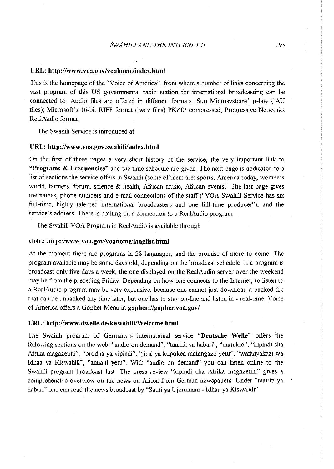### **URL: http://www.voa.gov/voahome/index.html**

This is the homepage of the "Voice of America", from where a number of links concerning the vast program of this US governmental radio station for international broadcasting can be connected to Audio files are offered in different formats: Sun Microsystems'  $\mu$ -law (AU files); Microsoft's 16-bit RIFF format ( wav files) PKZIP compressed; Progressive Networks Rea!Audio format

The Swahili Service is introduced at

#### **URL: http://www.voa.gov.swahili/index.html**

On the first of three pages a very short history of the service, the very important link to **"Programs & Frequencies"** and the time schedule are given The next page is dedicated to a list of sections the service offers in Swahili (some of them are: sports, America today, women's world, farmers' forum, science & health, African music, African events) The last page gives the names, phone numbers and e-mail connections of the staff ("VOA Swahili Service has six full-time, highly talented international broadcasters and one full-time producer"), and the service's address There is nothing on a connection to a RealAudio program

The Swahili VOA Program in Rea!Audio is available through

#### URL: http://www.voa.gov/voahome/langlist.html

At the moment there are programs in 28 languages, and the promise of more to come The program available may be some days old, depending on the broadcast schedule If a program is broadcast only five days a week, the one displayed on the RealAudio server over the weekend may be from the preceding Friday Depending on how one connects to the Internet, to listen to a RealAudio program may be very expensive, because one cannot just download a packed file that can be unpacked any time later, but one has to stay on-line and listen in - real-time Voice of America offers a Gopher Menu at **gopher·://gopher.** voa.govi

## URL: http://www.dwelle.de/kiswahili/Welcome.html

The Swahili program of Germany's international service **"Deutsche Welle"** offers the following sections on the web: "audio on demand", "taarifa ya habari", "matukio", "kipindi cha Afrika magazetini", "orodha ya vipindi", "jinsi ya kupokea matangazo yetu", "wafanyakazi wa Idhaa ya Kiswahili", "anuani yetu" With "audio on demand" you can listen online to the Swahili program broadcast last The press review "kipindi cha Afiika magazetini" gives a comprehensive overview on the news on Africa from German newspapers Under "taarifa ya habari" one can read the news broadcast by "Sauti ya Ujerumani - Idhaa ya Kiswahili".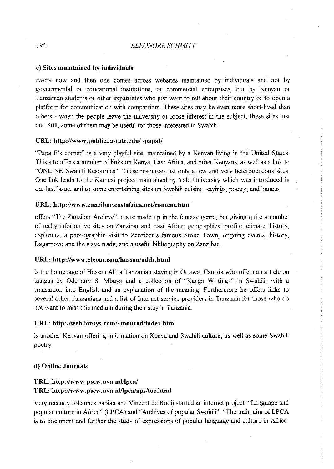# c) **Sites maintained by individuals**

Every now and then one comes across websites maintained by individuals and not by governmental or educational institutions, or commercial enterprises, but by Kenyan or I anzanian students or other expatriates who just want to tell about their country or to open a platform for communication with compatriots. These sites may be even more short-lived than others - when the people leave the university or loose interest in the subject, these sites just die Still, some of them may be useful for those interested in Swahili:

# **URL: http://www.public.iastate.edu/-papafi'**

"Papa F's corner" is a very playful site, maintained by a Kenyan living in the United States This site offers a number of links on Kenya, East Africa, and other Kenyans, as well as a link to "ONLINE Swahili Resources" These resources list only a few and very heterogeneous sites One link leads to the Kamusi project maintained by Yale University which was introduced in our last issue, and to some entertaining sites on Swahili cuisine, sayings, poetry, and kangas

# URL: http://www.zanzibar.eastafrica.net/content.htm

offers "The Zanzibar Archive", a site made up in the fantasy genre, but giving quite a number of really informative sites on Zanzibar and East Africa: geographical profile, climate, history, explorers, a photographic visit to Zanzibar's famous Stone I own, ongoing events, history, Bagamoyo and the slave trade, and a useful bibliography on Zanzibar

# URL: http://www.glcom.com/hassan/addr.html

is the homepage of Hassan Ali, a Tanzanian staying in Ottawa, Canada who offers an article on kangas by Odemary S Mbuya and a collection of "Kanga Writings" in Swahili, with a translation into English and an explanation of the meaning Furthermore he offers links to several other I anzanians and a list of Internet service providers in I anzania for those who do not want to miss this medium during their stay in I anzania

# URL: http://web.ionsys.com/~mourad/index.htm

is another Kenyan offering information on Kenya and Swahili culture, as well as some Swahili **poetry** 

## **d) Online Journals**

# URL: http://www.pscw.uva.ml/lpca/

# **URL: http://www.pscw.uva.nl/lpca/aps/toc.html**

Very recently Johannes Fabian and Vincent de Rooij started an internet project: "Language and popular culture in Africa" (LPCA) and "Archives of popular Swahili" "The main aim of LPCA is to document and further the study of expressions of popular language and culture in Africa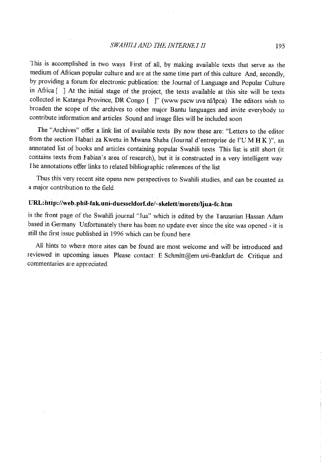This is accomplished in two ways First of all, by making available texts that serve as the medium of African popular culture and are at the same time part of this culture And, secondly, by providing a forum for electronic publication: the Journal of Language and Popular Culture in Afiica.[ .] At the initial stage of the project, the texts available at this site will be texts collected in Katanga Province, DR Congo [ ]" (www pscw uva nl/lpca). The editors wish to broaden the scope of the archives to other major Bantu languages and invite everybody to contribute information and articles Sound and image files will be included soon

The "Archives" offer a link list of available texts By now these are: "Letters to the editor fium the section Habari za Kwetu in Mwana Shaba (Journal d'entreprise de l'UM **H** K )", an annotated list of books and articles containing popular Swahili texts This list is still short (it contains texts from Fabian's area of research), but it is constructed in a very intelligent way <sup>I</sup>he annotations offer links to related bibliographic references of the list

Thus this very recent site opens new perspectives to Swahili studies, and can be counted as a major contribution to the field

# URL:http://web.phil-fak.uni-duesseldorf.de/~skelett/morets/ljua-fc.htm

is the front page of the Swahili journal "Jua" which is edited by the Tanzanian Hassan Adam based in Germany Unfortunately there has been no update ever since the site was opened - it is still the first issue published in 1996 which can be found here

All hints to where more sites can be found are most welcome and will be introduced and reviewed in upcoming issues Please contact: E Schmitt@em uni-frankfurt de. Critique and commentaries are appreciated